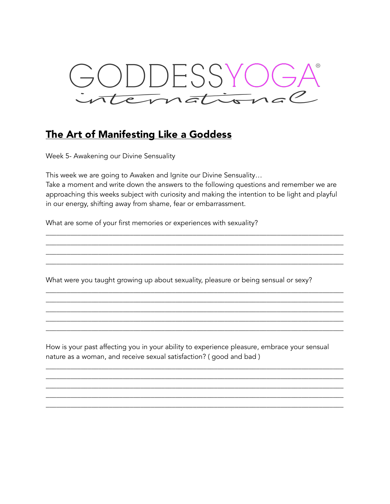

## The Art of Manifesting Like a Goddess

Week 5- Awakening our Divine Sensuality

This week we are going to Awaken and Ignite our Divine Sensuality… Take a moment and write down the answers to the following questions and remember we are approaching this weeks subject with curiosity and making the intention to be light and playful in our energy, shifting away from shame, fear or embarrassment.

\_\_\_\_\_\_\_\_\_\_\_\_\_\_\_\_\_\_\_\_\_\_\_\_\_\_\_\_\_\_\_\_\_\_\_\_\_\_\_\_\_\_\_\_\_\_\_\_\_\_\_\_\_\_\_\_\_\_\_\_\_\_\_\_\_\_\_\_\_\_\_\_\_\_\_\_\_\_\_\_\_\_\_\_\_ \_\_\_\_\_\_\_\_\_\_\_\_\_\_\_\_\_\_\_\_\_\_\_\_\_\_\_\_\_\_\_\_\_\_\_\_\_\_\_\_\_\_\_\_\_\_\_\_\_\_\_\_\_\_\_\_\_\_\_\_\_\_\_\_\_\_\_\_\_\_\_\_\_\_\_\_\_\_\_\_\_\_\_\_\_ \_\_\_\_\_\_\_\_\_\_\_\_\_\_\_\_\_\_\_\_\_\_\_\_\_\_\_\_\_\_\_\_\_\_\_\_\_\_\_\_\_\_\_\_\_\_\_\_\_\_\_\_\_\_\_\_\_\_\_\_\_\_\_\_\_\_\_\_\_\_\_\_\_\_\_\_\_\_\_\_\_\_\_\_\_ \_\_\_\_\_\_\_\_\_\_\_\_\_\_\_\_\_\_\_\_\_\_\_\_\_\_\_\_\_\_\_\_\_\_\_\_\_\_\_\_\_\_\_\_\_\_\_\_\_\_\_\_\_\_\_\_\_\_\_\_\_\_\_\_\_\_\_\_\_\_\_\_\_\_\_\_\_\_\_\_\_\_\_\_\_

\_\_\_\_\_\_\_\_\_\_\_\_\_\_\_\_\_\_\_\_\_\_\_\_\_\_\_\_\_\_\_\_\_\_\_\_\_\_\_\_\_\_\_\_\_\_\_\_\_\_\_\_\_\_\_\_\_\_\_\_\_\_\_\_\_\_\_\_\_\_\_\_\_\_\_\_\_\_\_\_\_\_\_\_\_ \_\_\_\_\_\_\_\_\_\_\_\_\_\_\_\_\_\_\_\_\_\_\_\_\_\_\_\_\_\_\_\_\_\_\_\_\_\_\_\_\_\_\_\_\_\_\_\_\_\_\_\_\_\_\_\_\_\_\_\_\_\_\_\_\_\_\_\_\_\_\_\_\_\_\_\_\_\_\_\_\_\_\_\_\_ \_\_\_\_\_\_\_\_\_\_\_\_\_\_\_\_\_\_\_\_\_\_\_\_\_\_\_\_\_\_\_\_\_\_\_\_\_\_\_\_\_\_\_\_\_\_\_\_\_\_\_\_\_\_\_\_\_\_\_\_\_\_\_\_\_\_\_\_\_\_\_\_\_\_\_\_\_\_\_\_\_\_\_\_\_ \_\_\_\_\_\_\_\_\_\_\_\_\_\_\_\_\_\_\_\_\_\_\_\_\_\_\_\_\_\_\_\_\_\_\_\_\_\_\_\_\_\_\_\_\_\_\_\_\_\_\_\_\_\_\_\_\_\_\_\_\_\_\_\_\_\_\_\_\_\_\_\_\_\_\_\_\_\_\_\_\_\_\_\_\_ \_\_\_\_\_\_\_\_\_\_\_\_\_\_\_\_\_\_\_\_\_\_\_\_\_\_\_\_\_\_\_\_\_\_\_\_\_\_\_\_\_\_\_\_\_\_\_\_\_\_\_\_\_\_\_\_\_\_\_\_\_\_\_\_\_\_\_\_\_\_\_\_\_\_\_\_\_\_\_\_\_\_\_\_\_

What are some of your first memories or experiences with sexuality?

What were you taught growing up about sexuality, pleasure or being sensual or sexy?

How is your past affecting you in your ability to experience pleasure, embrace your sensual nature as a woman, and receive sexual satisfaction? ( good and bad )

\_\_\_\_\_\_\_\_\_\_\_\_\_\_\_\_\_\_\_\_\_\_\_\_\_\_\_\_\_\_\_\_\_\_\_\_\_\_\_\_\_\_\_\_\_\_\_\_\_\_\_\_\_\_\_\_\_\_\_\_\_\_\_\_\_\_\_\_\_\_\_\_\_\_\_\_\_\_\_\_\_\_\_\_\_ \_\_\_\_\_\_\_\_\_\_\_\_\_\_\_\_\_\_\_\_\_\_\_\_\_\_\_\_\_\_\_\_\_\_\_\_\_\_\_\_\_\_\_\_\_\_\_\_\_\_\_\_\_\_\_\_\_\_\_\_\_\_\_\_\_\_\_\_\_\_\_\_\_\_\_\_\_\_\_\_\_\_\_\_\_ \_\_\_\_\_\_\_\_\_\_\_\_\_\_\_\_\_\_\_\_\_\_\_\_\_\_\_\_\_\_\_\_\_\_\_\_\_\_\_\_\_\_\_\_\_\_\_\_\_\_\_\_\_\_\_\_\_\_\_\_\_\_\_\_\_\_\_\_\_\_\_\_\_\_\_\_\_\_\_\_\_\_\_\_\_ \_\_\_\_\_\_\_\_\_\_\_\_\_\_\_\_\_\_\_\_\_\_\_\_\_\_\_\_\_\_\_\_\_\_\_\_\_\_\_\_\_\_\_\_\_\_\_\_\_\_\_\_\_\_\_\_\_\_\_\_\_\_\_\_\_\_\_\_\_\_\_\_\_\_\_\_\_\_\_\_\_\_\_\_\_ \_\_\_\_\_\_\_\_\_\_\_\_\_\_\_\_\_\_\_\_\_\_\_\_\_\_\_\_\_\_\_\_\_\_\_\_\_\_\_\_\_\_\_\_\_\_\_\_\_\_\_\_\_\_\_\_\_\_\_\_\_\_\_\_\_\_\_\_\_\_\_\_\_\_\_\_\_\_\_\_\_\_\_\_\_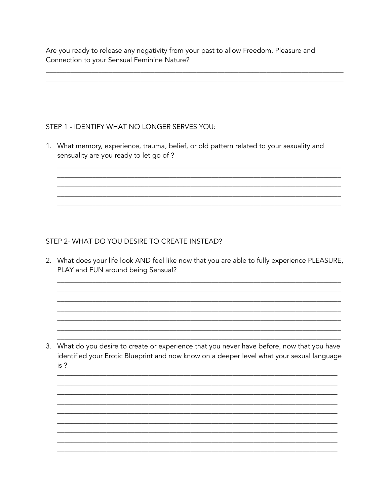Are you ready to release any negativity from your past to allow Freedom, Pleasure and Connection to your Sensual Feminine Nature?

## STEP 1 - IDENTIFY WHAT NO LONGER SERVES YOU:

1. What memory, experience, trauma, belief, or old pattern related to your sexuality and sensuality are you ready to let go of ?

## STEP 2- WHAT DO YOU DESIRE TO CREATE INSTEAD?

2. What does your life look AND feel like now that you are able to fully experience PLEASURE, PLAY and FUN around being Sensual?

3. What do you desire to create or experience that you never have before, now that you have identified your Erotic Blueprint and now know on a deeper level what your sexual language  $is<sup>2</sup>$